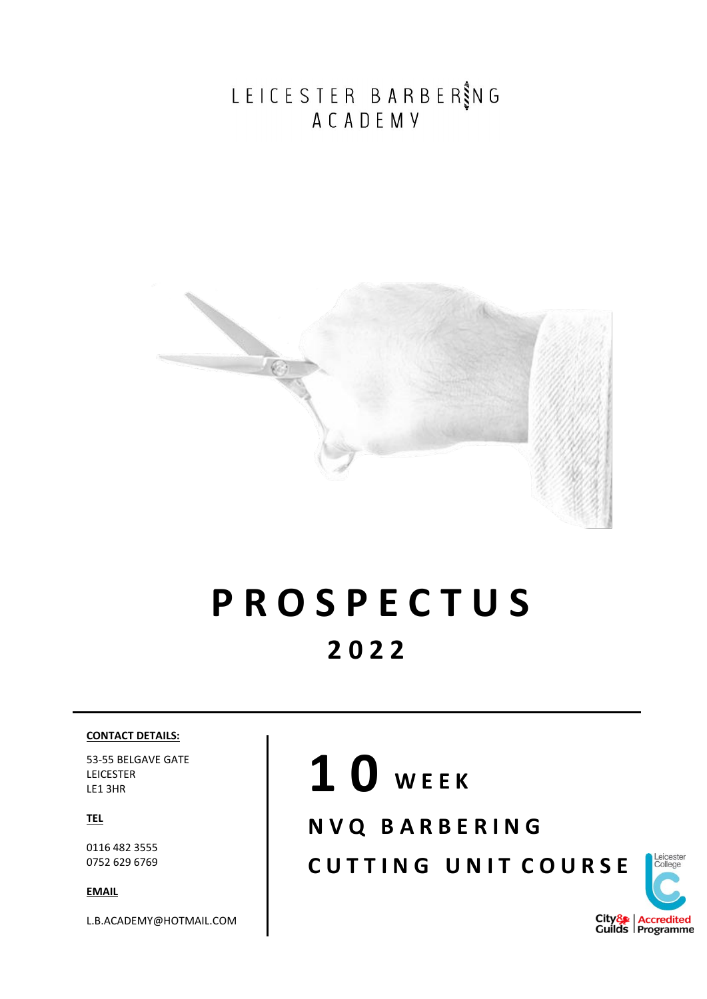LEICESTER BARBER SING<br>ACADEMY



#### **P R O S P E C T U S 2 0 2 2**

#### **CONTACT DETAILS:**

53-55 BELGAVE GATE LEICESTER LE1 3HR

**TEL**

0116 482 3555 0752 629 6769

**EMAIL**

L.B.ACADEMY@HOTMAIL.COM

## **1 0 W E E K**

**N V Q B A R B E R I N G** 

**CUTTING UNIT COURSE** 

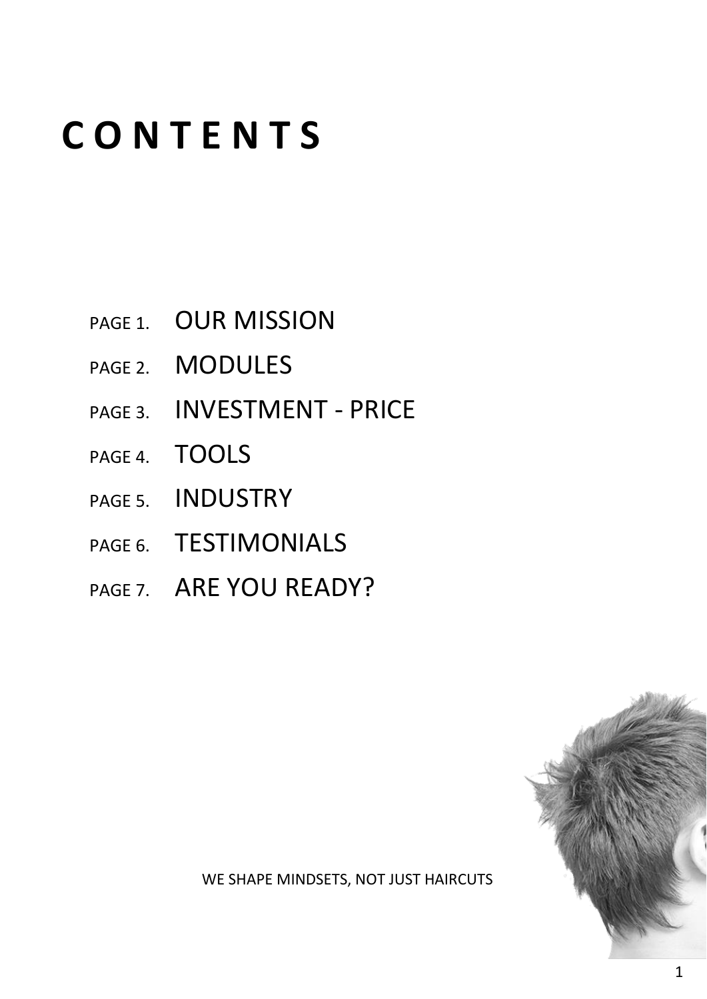#### **C O N T E N T S**

- PAGE 1. OUR MISSION
- PAGE 2. MODULES
- PAGE 3. **INVESTMENT PRICE**
- PAGE 4. TOOLS
- PAGE 5. INDUSTRY
- PAGE 6. TESTIMONIALS
- PAGE 7. ARE YOU READY?



WE SHAPE MINDSETS, NOT JUST HAIRCUTS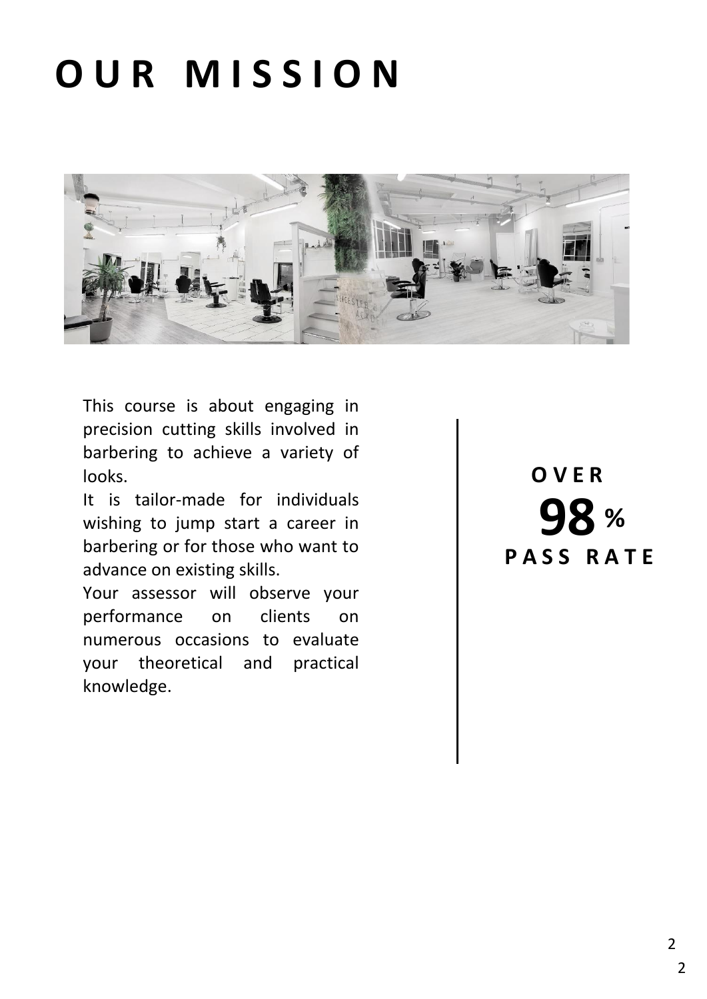## **O U R M I S S I O N**



This course is about engaging in precision cutting skills involved in barbering to achieve a variety of looks.

It is tailor-made for individuals wishing to jump start a career in barbering or for those who want to advance on existing skills.

Your assessor will observe your performance on clients on numerous occasions to evaluate your theoretical and practical knowledge.

**98 % P A S S R A T E O V E R**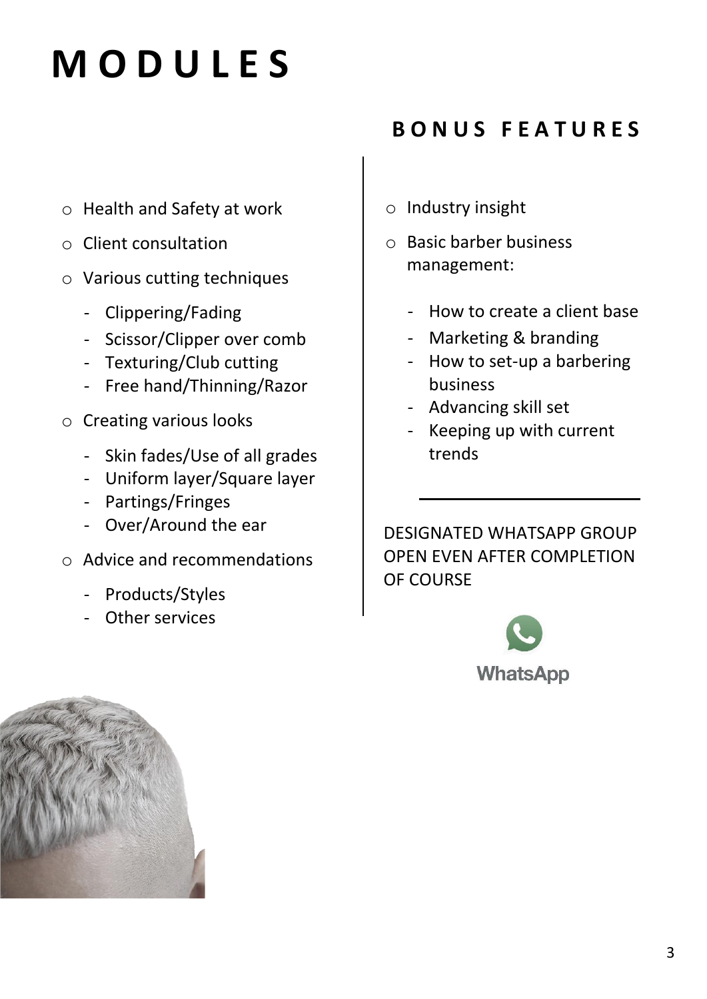## **M O D U L E S**

- o Health and Safety at work
- o Client consultation
- o Various cutting techniques
	- Clippering/Fading
	- Scissor/Clipper over comb
	- Texturing/Club cutting
	- Free hand/Thinning/Razor
- o Creating various looks
	- Skin fades/Use of all grades
	- Uniform layer/Square layer
	- Partings/Fringes
	- Over/Around the ear
- o Advice and recommendations
	- Products/Styles
	- Other services

#### **B O N U S F E A T U R E S**

- o Industry insight
- o Basic barber business management:
	- How to create a client base
	- Marketing & branding
	- How to set-up a barbering business
	- Advancing skill set
	- Keeping up with current trends

DESIGNATED WHATSAPP GROUP OPEN EVEN AFTER COMPLETION OF COURSE



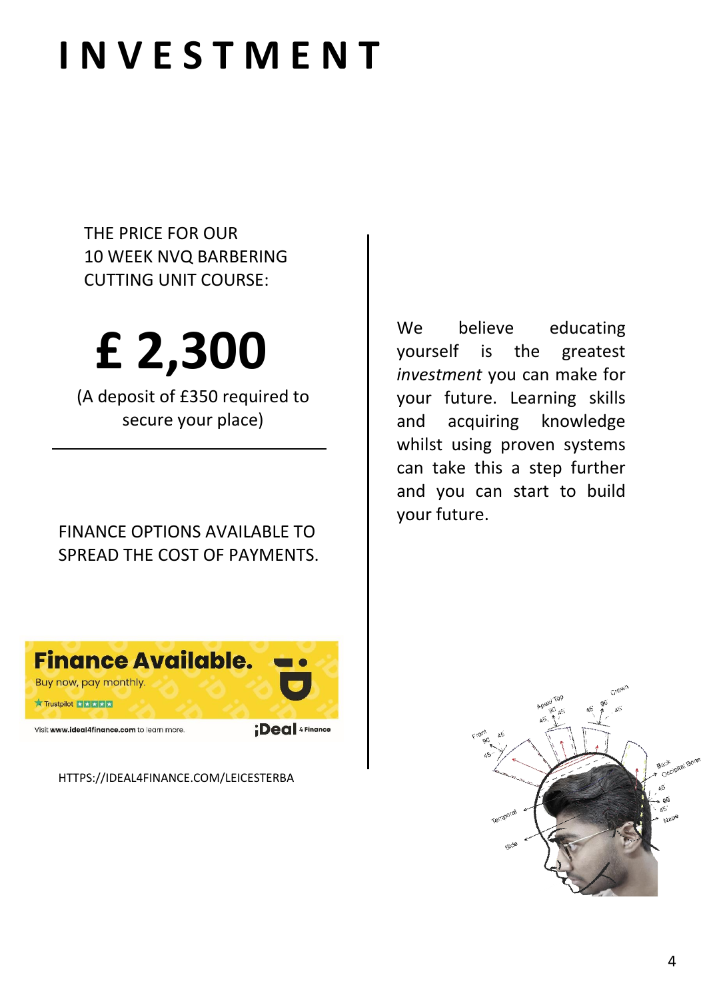### **I N V E S T M E N T**

THE PRICE FOR OUR 10 WEEK NVQ BARBERING CUTTING UNIT COURSE:

# **£ 2,300**

(A deposit of £350 required to secure your place)

FINANCE OPTIONS AVAILABLE TO SPREAD THE COST OF PAYMENTS.



[HTTPS://IDEAL4FINANCE.COM/LEICESTERBA](https://ideal4finance.com/LEICESTERBA)

We believe educating yourself is the greatest *investment* you can make for your future. Learning skills and acquiring knowledge whilst using proven systems can take this a step further and you can start to build your future.

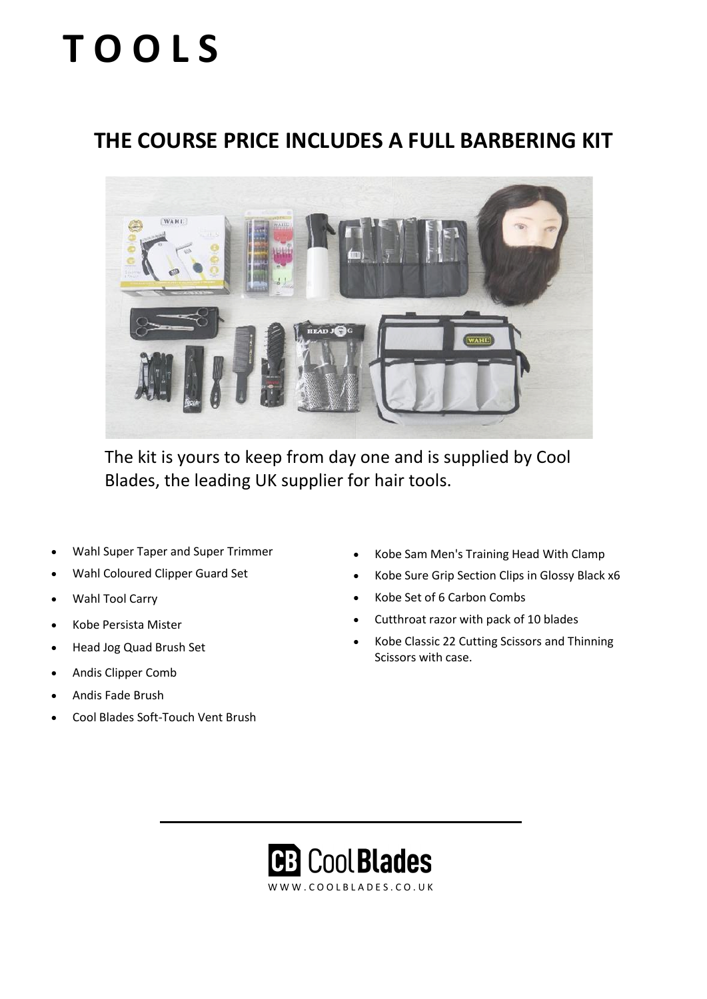## **T O O L S**

#### **THE COURSE PRICE INCLUDES A FULL BARBERING KIT**



The kit is yours to keep from day one and is supplied by Cool Blades, the leading UK supplier for hair tools.

- [Wahl S](https://www.coolblades.co.uk/hair-clippers-trimmers/wahl-hair-clippers/wahl-super-taper-and-super-trimmer-pack.html)uper Taper and Super Trimmer
- [Wahl Coloured Clipper Guard Set](https://www.coolblades.co.uk/wahl-set-of-8-coloured-combs.html)
- [Wahl Tool Carry](https://www.coolblades.co.uk/wahl-tool-carry.html)
- [Kobe Persista Mister](https://www.coolblades.co.uk/hair-cutting/accessories/water-sprays/kobe-persista-mister.html)
- [Head Jog Quad Brush Set](https://www.coolblades.co.uk/hair-styling-tools/hair-brushes/radial-brushes/head-jog-heat-retaining-hair-brushes.html)
- [Andis Clipper Comb](https://www.coolblades.co.uk/andis-clipper-comb.html)
- [Andis Fade Brush](https://www.coolblades.co.uk/andis-fade-brush.html)
- [Cool Blades Soft-Touch Vent Brush](https://www.coolblades.co.uk/coolblades-soft-touch-vent-brush.html)
- [Kobe Sam Men's Training Head](https://www.coolblades.co.uk/student-shop/training-heads-stands/kobe-sam-male-training-head.html) With Clamp
- [Kobe Sure Grip Section Clips](https://www.coolblades.co.uk/kobe-suregrip-section-clips.html) in Glossy Black x6
- [Kobe Set of 6 Carbon Combs](https://www.coolblades.co.uk/kobe-carbon-comb-set.html)
- Cutthroat razor with pack of 10 blades
- [Kobe Classic 22 Cutting Scissors](https://www.coolblades.co.uk/hairdressing-scissors/kobe-classic-22.html) and [Thinning](https://www.coolblades.co.uk/hairdressing-scissors/thinning-scissors/kobe-classic-22.html)  [Scissors](https://www.coolblades.co.uk/hairdressing-scissors/thinning-scissors/kobe-classic-22.html) with case.

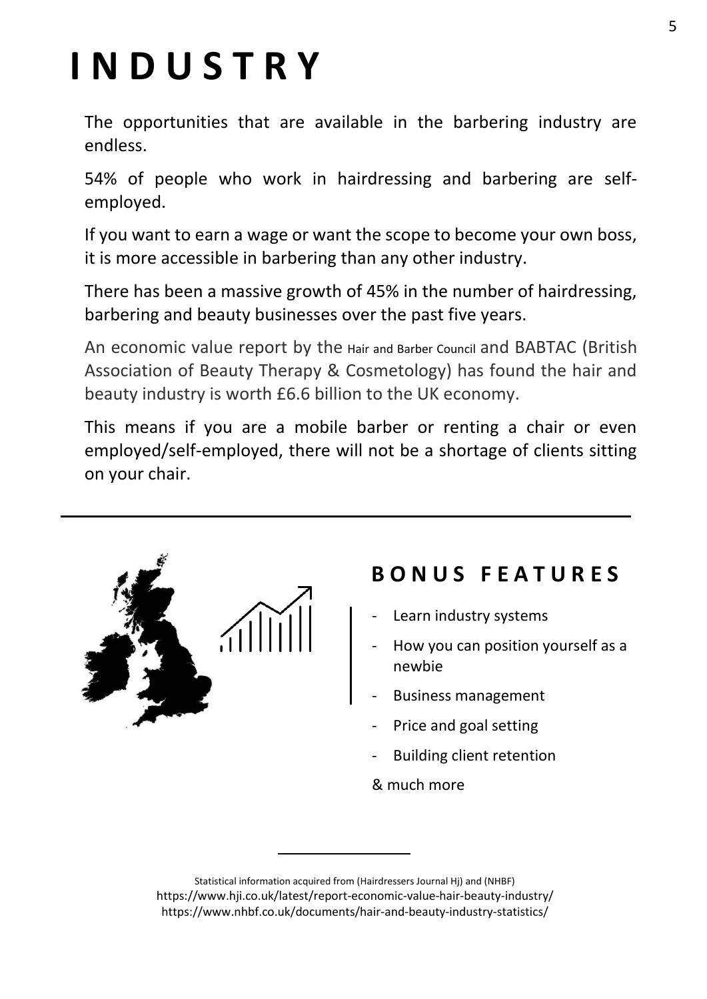## **I N D U S T R Y**

The opportunities that are available in the barbering industry are endless.

54% of people who work in hairdressing and barbering are selfemployed.

If you want to earn a wage or want the scope to become your own boss, it is more accessible in barbering than any other industry.

There has been a massive growth of 45% in the number of hairdressing, barbering and beauty businesses over the past five years.

An economic value report by the [Hair and Barber Council](https://haircouncil.org.uk/) and BABTAC (British Association of Beauty Therapy & Cosmetology) has found the hair and beauty industry is worth £6.6 billion to the UK economy.

This means if you are a mobile barber or renting a chair or even employed/self-employed, there will not be a shortage of clients sitting on your chair.



#### **B O N U S F E A T U R E S**

- Learn industry systems
- How you can position yourself as a newbie
- Business management
- Price and goal setting
- Building client retention
- & much more

Statistical information acquired from (Hairdressers Journal Hj) and (NHBF) <https://www.hji.co.uk/latest/report-economic-value-hair-beauty-industry/> <https://www.nhbf.co.uk/documents/hair-and-beauty-industry-statistics/>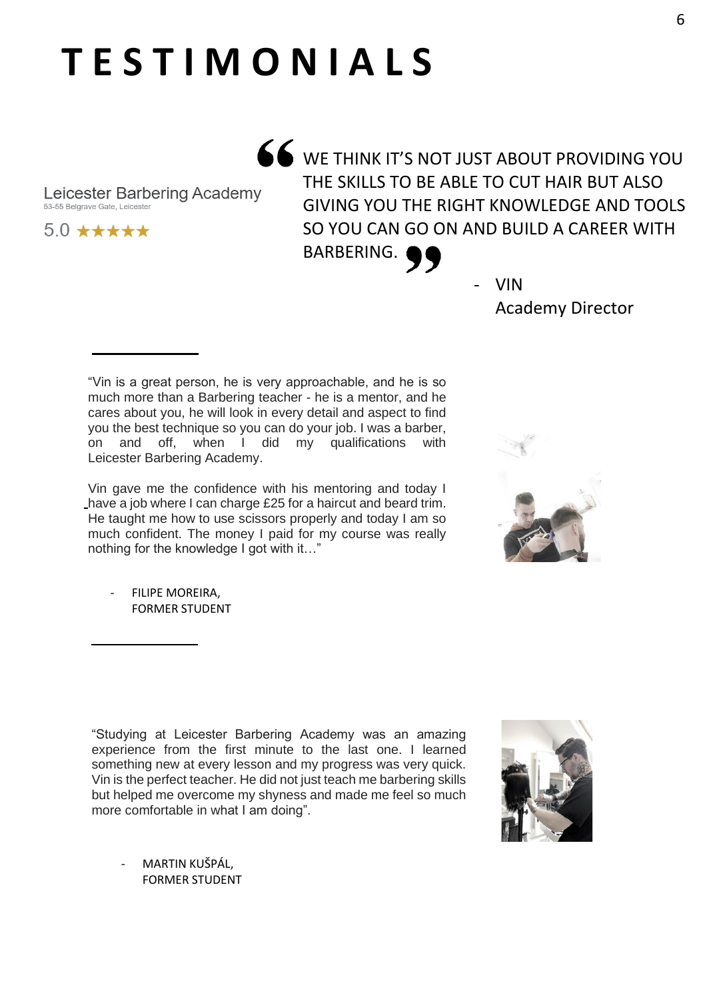### **T E S T I M O N I A L S**

A WE THINK IT'S NOT JUST ABOUT PROVIDING YOU THE SKILLS TO BE ABLE TO CUT HAIR BUT ALSO GIVING YOU THE RIGHT KNOWLEDGE AND TOOLS SO YOU CAN GO ON AND BUILD A CAREER WITH

BARBERING.

- VIN Academy Director

"Vin is a great person, he is very approachable, and he is so much more than a Barbering teacher - he is a mentor, and he cares about you, he will look in every detail and aspect to find you the best technique so you can do your job. I was a barber, on and off, when I did my qualifications with Leicester Barbering Academy.

Vin gave me the confidence with his mentoring and today I have a job where I can charge £25 for a haircut and beard trim. He taught me how to use scissors properly and today I am so much confident. The money I paid for my course was really nothing for the knowledge I got with it…"

FILIPE MOREIRA. FORMER STUDENT

Leicester Barbering Academy

53-55 Belgrave Gate Leicester

 $5.0$  \*\*\*\*\*

"Studying at Leicester Barbering Academy was an amazing experience from the first minute to the last one. I learned something new at every lesson and my progress was very quick. Vin is the perfect teacher. He did not just teach me barbering skills but helped me overcome my shyness and made me feel so much more comfortable in what I am doing".

[MARTIN KUŠPÁL](https://www.google.com/maps/contrib/100017105457679102449?hl=en-GB&sa=X&ved=2ahUKEwie0Pfg4f3uAhWjQUEAHURdD3cQvvQBegQIARBB), FORMER STUDENT